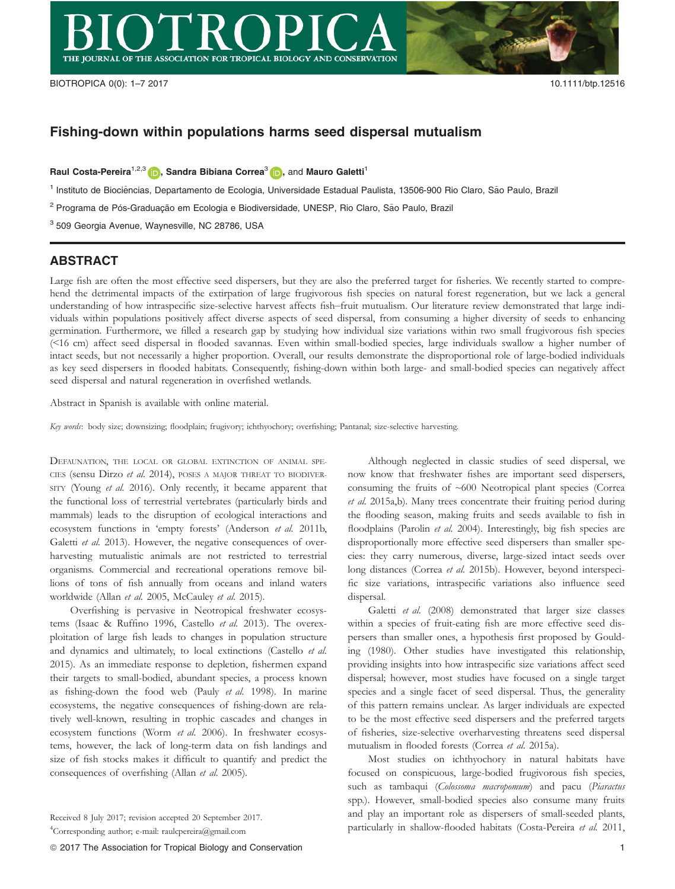

# Fishing-down within populations harms seed dispersal mutualism

Raul Costa-Pereira<sup>1,2,3</sup>  $\Box$ , Sandra Bibiana Correa<sup>3</sup>  $\Box$ , and Mauro Galetti<sup>1</sup>

<sup>1</sup> Instituto de Biociências, Departamento de Ecologia, Universidade Estadual Paulista, 13506-900 Rio Claro, São Paulo, Brazil

<sup>2</sup> Programa de Pós-Graduação em Ecologia e Biodiversidade, UNESP, Rio Claro, São Paulo, Brazil

<sup>3</sup> 509 Georgia Avenue, Waynesville, NC 28786, USA

### ABSTRACT

Large fish are often the most effective seed dispersers, but they are also the preferred target for fisheries. We recently started to comprehend the detrimental impacts of the extirpation of large frugivorous fish species on natural forest regeneration, but we lack a general understanding of how intraspecific size-selective harvest affects fish–fruit mutualism. Our literature review demonstrated that large individuals within populations positively affect diverse aspects of seed dispersal, from consuming a higher diversity of seeds to enhancing germination. Furthermore, we filled a research gap by studying how individual size variations within two small frugivorous fish species (<16 cm) affect seed dispersal in flooded savannas. Even within small-bodied species, large individuals swallow a higher number of intact seeds, but not necessarily a higher proportion. Overall, our results demonstrate the disproportional role of large-bodied individuals as key seed dispersers in flooded habitats. Consequently, fishing-down within both large- and small-bodied species can negatively affect seed dispersal and natural regeneration in overfished wetlands.

Abstract in Spanish is available with online material.

Key words: body size; downsizing; floodplain; frugivory; ichthyochory; overfishing; Pantanal; size-selective harvesting.

DEFAUNATION, THE LOCAL OR GLOBAL EXTINCTION OF ANIMAL SPE-CIES (sensu Dirzo et al. 2014), POSES A MAJOR THREAT TO BIODIVER-SITY (Young et al. 2016). Only recently, it became apparent that the functional loss of terrestrial vertebrates (particularly birds and mammals) leads to the disruption of ecological interactions and ecosystem functions in 'empty forests' (Anderson et al. 2011b, Galetti et al. 2013). However, the negative consequences of overharvesting mutualistic animals are not restricted to terrestrial organisms. Commercial and recreational operations remove billions of tons of fish annually from oceans and inland waters worldwide (Allan et al. 2005, McCauley et al. 2015).

Overfishing is pervasive in Neotropical freshwater ecosystems (Isaac & Ruffino 1996, Castello et al. 2013). The overexploitation of large fish leads to changes in population structure and dynamics and ultimately, to local extinctions (Castello et al. 2015). As an immediate response to depletion, fishermen expand their targets to small-bodied, abundant species, a process known as fishing-down the food web (Pauly et al. 1998). In marine ecosystems, the negative consequences of fishing-down are relatively well-known, resulting in trophic cascades and changes in ecosystem functions (Worm et al. 2006). In freshwater ecosystems, however, the lack of long-term data on fish landings and size of fish stocks makes it difficult to quantify and predict the consequences of overfishing (Allan et al. 2005).

Although neglected in classic studies of seed dispersal, we now know that freshwater fishes are important seed dispersers, consuming the fruits of ~600 Neotropical plant species (Correa et al. 2015a,b). Many trees concentrate their fruiting period during the flooding season, making fruits and seeds available to fish in floodplains (Parolin et al. 2004). Interestingly, big fish species are disproportionally more effective seed dispersers than smaller species: they carry numerous, diverse, large-sized intact seeds over long distances (Correa et al. 2015b). However, beyond interspecific size variations, intraspecific variations also influence seed dispersal.

Galetti et al. (2008) demonstrated that larger size classes within a species of fruit-eating fish are more effective seed dispersers than smaller ones, a hypothesis first proposed by Goulding (1980). Other studies have investigated this relationship, providing insights into how intraspecific size variations affect seed dispersal; however, most studies have focused on a single target species and a single facet of seed dispersal. Thus, the generality of this pattern remains unclear. As larger individuals are expected to be the most effective seed dispersers and the preferred targets of fisheries, size-selective overharvesting threatens seed dispersal mutualism in flooded forests (Correa et al. 2015a).

Most studies on ichthyochory in natural habitats have focused on conspicuous, large-bodied frugivorous fish species, such as tambaqui (Colossoma macropomum) and pacu (Piaractus spp.). However, small-bodied species also consume many fruits and play an important role as dispersers of small-seeded plants, particularly in shallow-flooded habitats (Costa-Pereira et al. 2011,

Received 8 July 2017; revision accepted 20 September 2017.

<sup>4</sup> Corresponding author; e-mail: raulcpereira@gmail.com

ª 2017 The Association for Tropical Biology and Conservation 1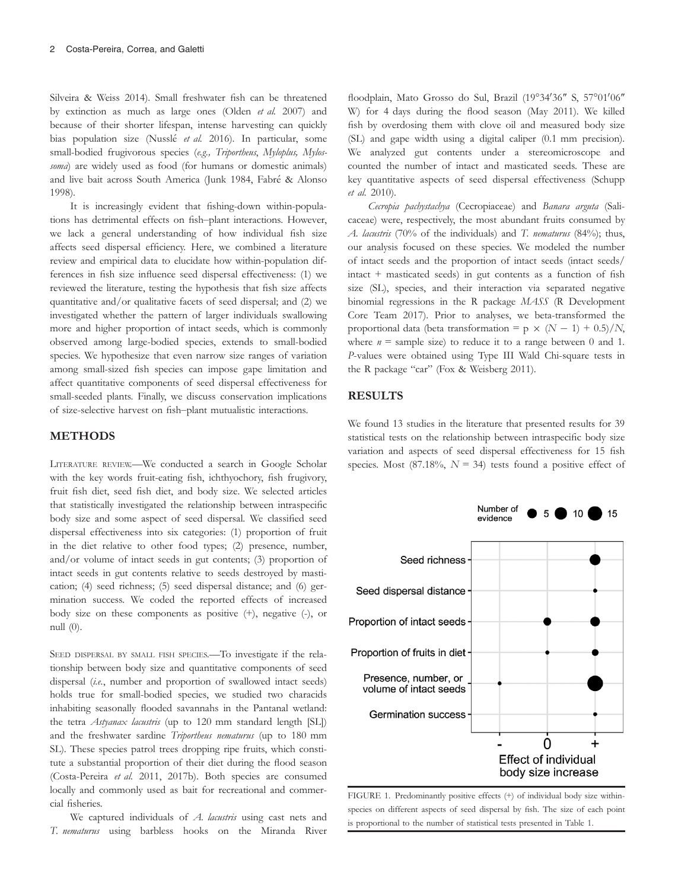Silveira & Weiss 2014). Small freshwater fish can be threatened by extinction as much as large ones (Olden et al. 2007) and because of their shorter lifespan, intense harvesting can quickly bias population size (Nusslé et al. 2016). In particular, some small-bodied frugivorous species (e.g., Triportheus, Myloplus, Mylossoma) are widely used as food (for humans or domestic animals) and live bait across South America (Junk 1984, Fabré & Alonso 1998).

It is increasingly evident that fishing-down within-populations has detrimental effects on fish–plant interactions. However, we lack a general understanding of how individual fish size affects seed dispersal efficiency. Here, we combined a literature review and empirical data to elucidate how within-population differences in fish size influence seed dispersal effectiveness: (1) we reviewed the literature, testing the hypothesis that fish size affects quantitative and/or qualitative facets of seed dispersal; and (2) we investigated whether the pattern of larger individuals swallowing more and higher proportion of intact seeds, which is commonly observed among large-bodied species, extends to small-bodied species. We hypothesize that even narrow size ranges of variation among small-sized fish species can impose gape limitation and affect quantitative components of seed dispersal effectiveness for small-seeded plants. Finally, we discuss conservation implications of size-selective harvest on fish–plant mutualistic interactions.

#### METHODS

LITERATURE REVIEW.—We conducted a search in Google Scholar with the key words fruit-eating fish, ichthyochory, fish frugivory, fruit fish diet, seed fish diet, and body size. We selected articles that statistically investigated the relationship between intraspecific body size and some aspect of seed dispersal. We classified seed dispersal effectiveness into six categories: (1) proportion of fruit in the diet relative to other food types; (2) presence, number, and/or volume of intact seeds in gut contents; (3) proportion of intact seeds in gut contents relative to seeds destroyed by mastication; (4) seed richness; (5) seed dispersal distance; and (6) germination success. We coded the reported effects of increased body size on these components as positive (+), negative (-), or null (0).

SEED DISPERSAL BY SMALL FISH SPECIES.—To investigate if the relationship between body size and quantitative components of seed dispersal (i.e., number and proportion of swallowed intact seeds) holds true for small-bodied species, we studied two characids inhabiting seasonally flooded savannahs in the Pantanal wetland: the tetra Astyanax lacustris (up to 120 mm standard length [SL]) and the freshwater sardine Triportheus nematurus (up to 180 mm SL). These species patrol trees dropping ripe fruits, which constitute a substantial proportion of their diet during the flood season (Costa-Pereira et al. 2011, 2017b). Both species are consumed locally and commonly used as bait for recreational and commercial fisheries.

We captured individuals of A. lacustris using cast nets and T. nematurus using barbless hooks on the Miranda River

floodplain, Mato Grosso do Sul, Brazil (19°34'36" S, 57°01'06" W) for 4 days during the flood season (May 2011). We killed fish by overdosing them with clove oil and measured body size (SL) and gape width using a digital caliper (0.1 mm precision). We analyzed gut contents under a stereomicroscope and counted the number of intact and masticated seeds. These are key quantitative aspects of seed dispersal effectiveness (Schupp et al. 2010).

Cecropia pachystachya (Cecropiaceae) and Banara arguta (Salicaceae) were, respectively, the most abundant fruits consumed by A. lacustris (70% of the individuals) and T. nematurus (84%); thus, our analysis focused on these species. We modeled the number of intact seeds and the proportion of intact seeds (intact seeds/ intact + masticated seeds) in gut contents as a function of fish size (SL), species, and their interaction via separated negative binomial regressions in the R package MASS (R Development Core Team 2017). Prior to analyses, we beta-transformed the proportional data (beta transformation = p  $\times$  (N - 1) + 0.5)/N, where  $n =$  sample size) to reduce it to a range between 0 and 1. P-values were obtained using Type III Wald Chi-square tests in the R package "car" (Fox & Weisberg 2011).

## RESULTS

We found 13 studies in the literature that presented results for 39 statistical tests on the relationship between intraspecific body size variation and aspects of seed dispersal effectiveness for 15 fish species. Most (87.18%,  $N = 34$ ) tests found a positive effect of



FIGURE 1. Predominantly positive effects (+) of individual body size withinspecies on different aspects of seed dispersal by fish. The size of each point is proportional to the number of statistical tests presented in Table 1.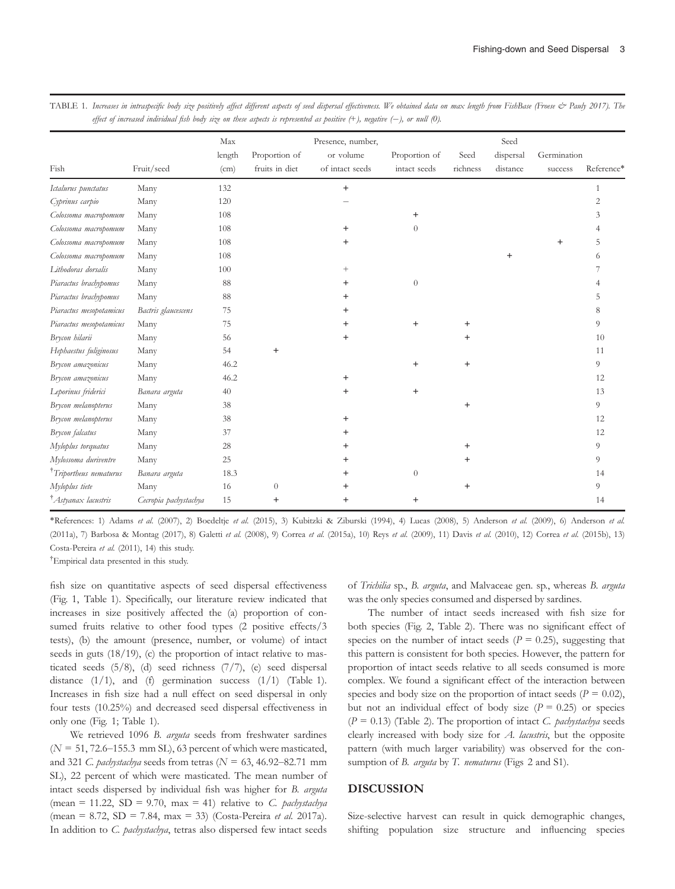|                                 |                       | Max    |                | Presence, number, |                |           | Seed      |             |                |
|---------------------------------|-----------------------|--------|----------------|-------------------|----------------|-----------|-----------|-------------|----------------|
|                                 |                       | length | Proportion of  | or volume         | Proportion of  | Seed      | dispersal | Germination |                |
| Fish                            | Fruit/seed            | (cm)   | fruits in diet | of intact seeds   | intact seeds   | richness  | distance  | success     | Reference*     |
| Ictalurus punctatus             | Many                  | 132    |                | $+$               |                |           |           |             | 1              |
| Cyprinus carpio                 | Many                  | 120    |                |                   |                |           |           |             | $\overline{2}$ |
| Colossoma macropomum            | Many                  | 108    |                |                   | $\ddot{}$      |           |           |             | 3              |
| Colossoma macropomum            | Many                  | 108    |                | $+$               | $\overline{0}$ |           |           |             |                |
| Colossoma macropomum            | Many                  | 108    |                | $\ddot{}$         |                |           |           | $\ddot{}$   | 5              |
| Colossoma macropomum            | Many                  | 108    |                |                   |                |           |           |             | 6              |
| Lithodoras dorsalis             | Many                  | 100    |                | $^{+}$            |                |           |           |             |                |
| Piaractus brachypomus           | Many                  | 88     |                | $\hbox{ }$        | $\sqrt{0}$     |           |           |             |                |
| Piaractus brachypomus           | Many                  | 88     |                |                   |                |           |           |             | 5              |
| Piaractus mesopotamicus         | Bactris glaucescens   | 75     |                | $\ddot{}$         |                |           |           |             | 8              |
| Piaractus mesopotamicus         | Many                  | 75     |                | +                 | $\ddot{}$      | $^+$      |           |             | 9              |
| Brycon hilarii                  | Many                  | 56     |                | $\ddot{}$         |                | $^+$      |           |             | 10             |
| Hephaestus fuliginosus          | Many                  | 54     | $^{+}$         |                   |                |           |           |             | 11             |
| Brycon amazonicus               | Many                  | 46.2   |                |                   | $^{+}$         | $+$       |           |             | 9              |
| Brycon amazonicus               | Many                  | 46.2   |                | $\ddot{}$         |                |           |           |             | 12             |
| Leporinus friderici             | Banara arguta         | 40     |                | $\ddot{}$         | $^{+}$         |           |           |             | 13             |
| Brycon melanopterus             | Many                  | 38     |                |                   |                | $\ddot{}$ |           |             | 9              |
| Brycon melanopterus             | Many                  | 38     |                | $\ddot{}$         |                |           |           |             | 12             |
| Brycon falcatus                 | Many                  | 37     |                | $\,{}^+$          |                |           |           |             | 12             |
| Myloplus torquatus              | Many                  | 28     |                | $\hbox{ }$        |                | $\,^+$    |           |             | 9              |
| Mylossoma duriventre            | Many                  | 25     |                | +                 |                |           |           |             | 9              |
| Triportheus nematurus           | Banara arguta         | 18.3   |                | +                 | $\Omega$       |           |           |             | 14             |
| Myloplus tiete                  | Many                  | 16     | $\theta$       |                   |                | $\ddot{}$ |           |             | 9              |
| <sup>†</sup> Astyanax lacustris | Cecropia pachystachya | 15     | $^{+}$         | $\,{}^+$          | $^{+}$         |           |           |             | 14             |

TABLE 1. Increases in intraspecific body size positively affect different aspects of seed dispersal effectiveness. We obtained data on max length from FishBase (Froese & Pauly 2017). The effect of increased individual fish body size on these aspects is represented as positive (+), negative (-), or null (0).

\*References: 1) Adams et al. (2007), 2) Boedeltje et al. (2015), 3) Kubitzki & Ziburski (1994), 4) Lucas (2008), 5) Anderson et al. (2009), 6) Anderson et al. (2011a), 7) Barbosa & Montag (2017), 8) Galetti et al. (2008), 9) Correa et al. (2015a), 10) Reys et al. (2009), 11) Davis et al. (2010), 12) Correa et al. (2015b), 13) Costa-Pereira et al. (2011), 14) this study.

† Empirical data presented in this study.

fish size on quantitative aspects of seed dispersal effectiveness (Fig. 1, Table 1). Specifically, our literature review indicated that increases in size positively affected the (a) proportion of consumed fruits relative to other food types (2 positive effects/3 tests), (b) the amount (presence, number, or volume) of intact seeds in guts  $(18/19)$ , (c) the proportion of intact relative to masticated seeds (5/8), (d) seed richness (7/7), (e) seed dispersal distance  $(1/1)$ , and  $(f)$  germination success  $(1/1)$  (Table 1). Increases in fish size had a null effect on seed dispersal in only four tests (10.25%) and decreased seed dispersal effectiveness in only one (Fig. 1; Table 1).

We retrieved 1096 B. arguta seeds from freshwater sardines  $(N = 51, 72.6 - 155.3 \text{ mm} \text{ SL})$ , 63 percent of which were masticated, and 321 C. pachystachya seeds from tetras ( $N = 63, 46.92-82.71$  mm SL), 22 percent of which were masticated. The mean number of intact seeds dispersed by individual fish was higher for B. arguta (mean = 11.22, SD = 9.70, max = 41) relative to C. pachystachya (mean = 8.72, SD = 7.84, max = 33) (Costa-Pereira *et al.* 2017a). In addition to C. pachystachya, tetras also dispersed few intact seeds

of Trichilia sp., B. arguta, and Malvaceae gen. sp., whereas B. arguta was the only species consumed and dispersed by sardines.

The number of intact seeds increased with fish size for both species (Fig. 2, Table 2). There was no significant effect of species on the number of intact seeds ( $P = 0.25$ ), suggesting that this pattern is consistent for both species. However, the pattern for proportion of intact seeds relative to all seeds consumed is more complex. We found a significant effect of the interaction between species and body size on the proportion of intact seeds ( $P = 0.02$ ), but not an individual effect of body size  $(P = 0.25)$  or species  $(P = 0.13)$  (Table 2). The proportion of intact *C. pachystachya* seeds clearly increased with body size for A. lacustris, but the opposite pattern (with much larger variability) was observed for the consumption of B. arguta by T. nematurus (Figs 2 and S1).

#### DISCUSSION

Size-selective harvest can result in quick demographic changes, shifting population size structure and influencing species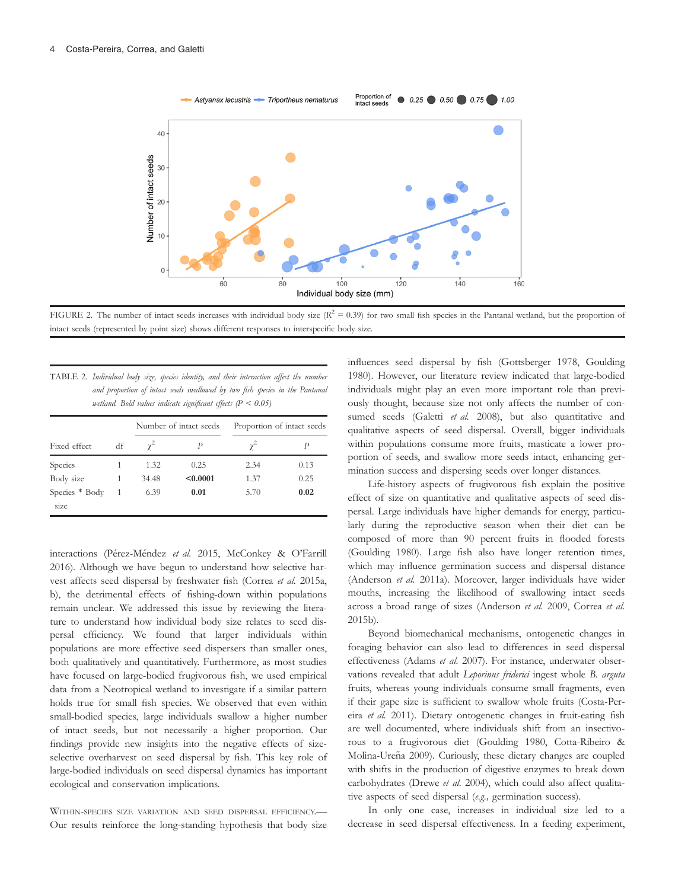

FIGURE 2. The number of intact seeds increases with individual body size  $(R^2 = 0.39)$  for two small fish species in the Pantanal wetland, but the proportion of intact seeds (represented by point size) shows different responses to interspecific body size.

| TABLE 2. Individual body size, species identity, and their interaction affect the number |  |  |  |  |  |  |  |
|------------------------------------------------------------------------------------------|--|--|--|--|--|--|--|
| and proportion of intact seeds swallowed by two fish species in the Pantanal             |  |  |  |  |  |  |  |
| wetland. Bold values indicate significant effects $(P < 0.05)$                           |  |  |  |  |  |  |  |

|                        |    |            | Number of intact seeds | Proportion of intact seeds |      |  |
|------------------------|----|------------|------------------------|----------------------------|------|--|
| Fixed effect           | df | $\gamma^2$ | Р                      | $\gamma^2$                 |      |  |
| Species                |    | 1.32       | 0.25                   | 2.34                       | 0.13 |  |
| Body size              |    | 34.48      | < 0.0001               | 1.37                       | 0.25 |  |
| Species * Body<br>size |    | 6.39       | 0.01                   | 5.70                       | 0.02 |  |

interactions (Pérez-Méndez et al. 2015, McConkey & O'Farrill 2016). Although we have begun to understand how selective harvest affects seed dispersal by freshwater fish (Correa et al. 2015a, b), the detrimental effects of fishing-down within populations remain unclear. We addressed this issue by reviewing the literature to understand how individual body size relates to seed dispersal efficiency. We found that larger individuals within populations are more effective seed dispersers than smaller ones, both qualitatively and quantitatively. Furthermore, as most studies have focused on large-bodied frugivorous fish, we used empirical data from a Neotropical wetland to investigate if a similar pattern holds true for small fish species. We observed that even within small-bodied species, large individuals swallow a higher number of intact seeds, but not necessarily a higher proportion. Our findings provide new insights into the negative effects of sizeselective overharvest on seed dispersal by fish. This key role of large-bodied individuals on seed dispersal dynamics has important ecological and conservation implications.

WITHIN-SPECIES SIZE VARIATION AND SEED DISPERSAL EFFICIENCY.— Our results reinforce the long-standing hypothesis that body size influences seed dispersal by fish (Gottsberger 1978, Goulding 1980). However, our literature review indicated that large-bodied individuals might play an even more important role than previously thought, because size not only affects the number of consumed seeds (Galetti et al. 2008), but also quantitative and qualitative aspects of seed dispersal. Overall, bigger individuals within populations consume more fruits, masticate a lower proportion of seeds, and swallow more seeds intact, enhancing germination success and dispersing seeds over longer distances.

Life-history aspects of frugivorous fish explain the positive effect of size on quantitative and qualitative aspects of seed dispersal. Large individuals have higher demands for energy, particularly during the reproductive season when their diet can be composed of more than 90 percent fruits in flooded forests (Goulding 1980). Large fish also have longer retention times, which may influence germination success and dispersal distance (Anderson et al. 2011a). Moreover, larger individuals have wider mouths, increasing the likelihood of swallowing intact seeds across a broad range of sizes (Anderson et al. 2009, Correa et al. 2015b).

Beyond biomechanical mechanisms, ontogenetic changes in foraging behavior can also lead to differences in seed dispersal effectiveness (Adams et al. 2007). For instance, underwater observations revealed that adult Leporinus friderici ingest whole B. arguta fruits, whereas young individuals consume small fragments, even if their gape size is sufficient to swallow whole fruits (Costa-Pereira et al. 2011). Dietary ontogenetic changes in fruit-eating fish are well documented, where individuals shift from an insectivorous to a frugivorous diet (Goulding 1980, Cotta-Ribeiro & Molina-Ureña 2009). Curiously, these dietary changes are coupled with shifts in the production of digestive enzymes to break down carbohydrates (Drewe et al. 2004), which could also affect qualitative aspects of seed dispersal (e.g., germination success).

In only one case, increases in individual size led to a decrease in seed dispersal effectiveness. In a feeding experiment,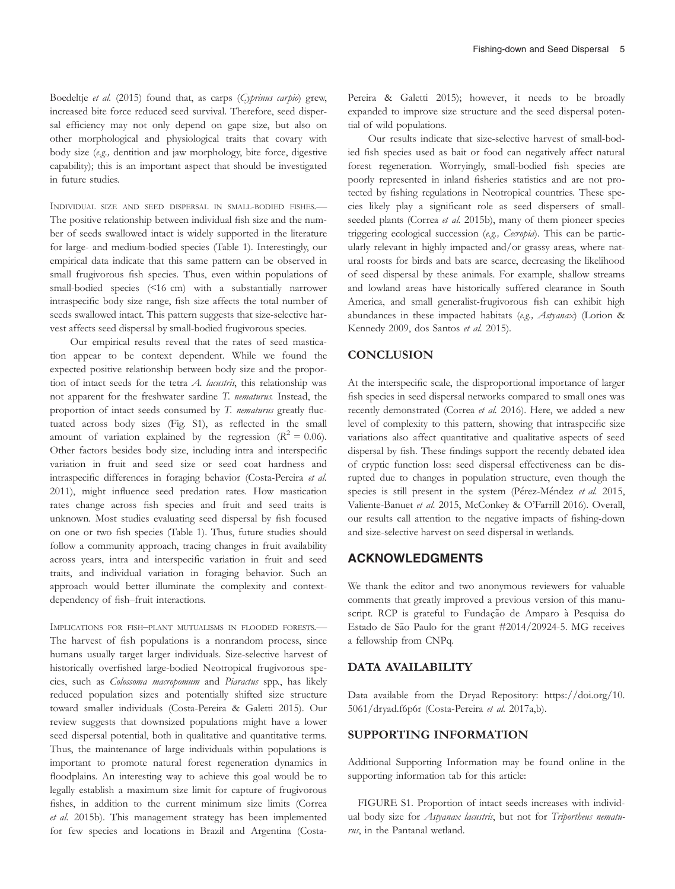Boedeltje et al. (2015) found that, as carps (Cyprinus carpio) grew, increased bite force reduced seed survival. Therefore, seed dispersal efficiency may not only depend on gape size, but also on other morphological and physiological traits that covary with body size (e.g., dentition and jaw morphology, bite force, digestive capability); this is an important aspect that should be investigated in future studies.

INDIVIDUAL SIZE AND SEED DISPERSAL IN SMALL-BODIED FISHES.— The positive relationship between individual fish size and the number of seeds swallowed intact is widely supported in the literature for large- and medium-bodied species (Table 1). Interestingly, our empirical data indicate that this same pattern can be observed in small frugivorous fish species. Thus, even within populations of small-bodied species (<16 cm) with a substantially narrower intraspecific body size range, fish size affects the total number of seeds swallowed intact. This pattern suggests that size-selective harvest affects seed dispersal by small-bodied frugivorous species.

Our empirical results reveal that the rates of seed mastication appear to be context dependent. While we found the expected positive relationship between body size and the proportion of intact seeds for the tetra  $A$ . lacustris, this relationship was not apparent for the freshwater sardine T. nematurus. Instead, the proportion of intact seeds consumed by T. nematurus greatly fluctuated across body sizes (Fig. S1), as reflected in the small amount of variation explained by the regression  $(R^2 = 0.06)$ . Other factors besides body size, including intra and interspecific variation in fruit and seed size or seed coat hardness and intraspecific differences in foraging behavior (Costa-Pereira et al. 2011), might influence seed predation rates. How mastication rates change across fish species and fruit and seed traits is unknown. Most studies evaluating seed dispersal by fish focused on one or two fish species (Table 1). Thus, future studies should follow a community approach, tracing changes in fruit availability across years, intra and interspecific variation in fruit and seed traits, and individual variation in foraging behavior. Such an approach would better illuminate the complexity and contextdependency of fish–fruit interactions.

IMPLICATIONS FOR FISH–PLANT MUTUALISMS IN FLOODED FORESTS.— The harvest of fish populations is a nonrandom process, since humans usually target larger individuals. Size-selective harvest of historically overfished large-bodied Neotropical frugivorous species, such as Colossoma macropomum and Piaractus spp., has likely reduced population sizes and potentially shifted size structure toward smaller individuals (Costa-Pereira & Galetti 2015). Our review suggests that downsized populations might have a lower seed dispersal potential, both in qualitative and quantitative terms. Thus, the maintenance of large individuals within populations is important to promote natural forest regeneration dynamics in floodplains. An interesting way to achieve this goal would be to legally establish a maximum size limit for capture of frugivorous fishes, in addition to the current minimum size limits (Correa et al. 2015b). This management strategy has been implemented for few species and locations in Brazil and Argentina (CostaPereira & Galetti 2015); however, it needs to be broadly expanded to improve size structure and the seed dispersal potential of wild populations.

Our results indicate that size-selective harvest of small-bodied fish species used as bait or food can negatively affect natural forest regeneration. Worryingly, small-bodied fish species are poorly represented in inland fisheries statistics and are not protected by fishing regulations in Neotropical countries. These species likely play a significant role as seed dispersers of smallseeded plants (Correa et al. 2015b), many of them pioneer species triggering ecological succession (e.g., Cecropia). This can be particularly relevant in highly impacted and/or grassy areas, where natural roosts for birds and bats are scarce, decreasing the likelihood of seed dispersal by these animals. For example, shallow streams and lowland areas have historically suffered clearance in South America, and small generalist-frugivorous fish can exhibit high abundances in these impacted habitats (e.g., Astyanax) (Lorion & Kennedy 2009, dos Santos et al. 2015).

#### **CONCLUSION**

At the interspecific scale, the disproportional importance of larger fish species in seed dispersal networks compared to small ones was recently demonstrated (Correa et al. 2016). Here, we added a new level of complexity to this pattern, showing that intraspecific size variations also affect quantitative and qualitative aspects of seed dispersal by fish. These findings support the recently debated idea of cryptic function loss: seed dispersal effectiveness can be disrupted due to changes in population structure, even though the species is still present in the system (Pérez-Méndez et al. 2015, Valiente-Banuet et al. 2015, McConkey & O'Farrill 2016). Overall, our results call attention to the negative impacts of fishing-down and size-selective harvest on seed dispersal in wetlands.

# ACKNOWLEDGMENTS

We thank the editor and two anonymous reviewers for valuable comments that greatly improved a previous version of this manuscript. RCP is grateful to Fundação de Amparo à Pesquisa do Estado de São Paulo for the grant #2014/20924-5. MG receives a fellowship from CNPq.

### DATA AVAILABILITY

Data available from the Dryad Repository: [https://doi.org/10.](https://doi.org/10.5061/dryad.f6p6r) [5061/dryad.f6p6r](https://doi.org/10.5061/dryad.f6p6r) (Costa-Pereira et al. 2017a,b).

### SUPPORTING INFORMATION

Additional Supporting Information may be found online in the supporting information tab for this article:

FIGURE S1. Proportion of intact seeds increases with individual body size for Astyanax lacustris, but not for Triportheus nematurus, in the Pantanal wetland.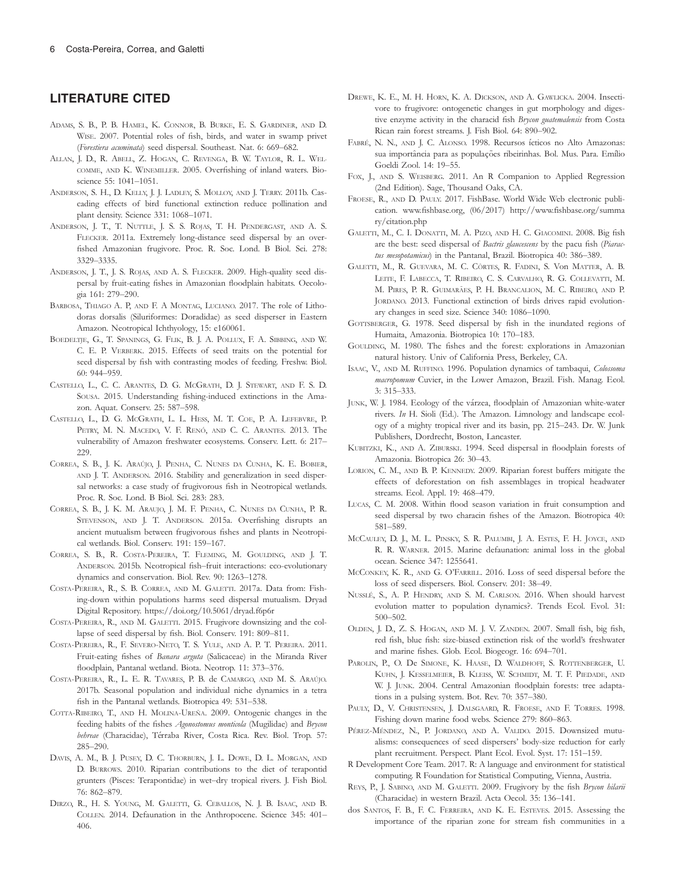# LITERATURE CITED

- ADAMS, S. B., P. B. HAMEL, K. CONNOR, B. BURKE, E. S. GARDINER, AND D. WISE. 2007. Potential roles of fish, birds, and water in swamp privet (Forestiera acuminata) seed dispersal. Southeast. Nat. 6: 669–682.
- ALLAN, J. D., R. ABELL, Z. HOGAN, C. REVENGA, B. W. TAYLOR, R. L. WEL-COMME, AND K. WINEMILLER. 2005. Overfishing of inland waters. Bioscience 55: 1041–1051.
- ANDERSON, S. H., D. KELLY, J. J. LADLEY, S. MOLLOY, AND J. TERRY. 2011b. Cascading effects of bird functional extinction reduce pollination and plant density. Science 331: 1068–1071.
- ANDERSON, J. T., T. NUTTLE, J. S. S. ROJAS, T. H. PENDERGAST, AND A. S. FLECKER. 2011a. Extremely long-distance seed dispersal by an overfished Amazonian frugivore. Proc. R. Soc. Lond. B Biol. Sci. 278: 3329–3335.
- ANDERSON, J. T., J. S. ROJAS, AND A. S. FLECKER. 2009. High-quality seed dispersal by fruit-eating fishes in Amazonian floodplain habitats. Oecologia 161: 279–290.
- BARBOSA, THIAGO A. P, AND F. A MONTAG, LUCIANO. 2017. The role of Lithodoras dorsalis (Siluriformes: Doradidae) as seed disperser in Eastern Amazon. Neotropical Ichthyology, 15: e160061.
- BOEDELTJE, G., T. SPANINGS, G. FLIK, B. J. A. POLLUX, F. A. SIBBING, AND W. C. E. P. VERBERK. 2015. Effects of seed traits on the potential for seed dispersal by fish with contrasting modes of feeding. Freshw. Biol. 60: 944–959.
- CASTELLO, L., C. C. ARANTES, D. G. MCGRATH, D. J. STEWART, AND F. S. D. SOUSA. 2015. Understanding fishing-induced extinctions in the Amazon. Aquat. Conserv. 25: 587–598.
- CASTELLO, L., D. G. MCGRATH, L. L. HESS, M. T. COE, P. A. LEFEBVRE, P. PETRY, M. N. MACEDO, V. F. RENÓ, AND C. C. ARANTES. 2013. The vulnerability of Amazon freshwater ecosystems. Conserv. Lett. 6: 217– 229.
- CORREA, S. B., J. K. Araújo, J. Penha, C. Nunes da Cunha, K. E. Bobier, AND J. T. ANDERSON. 2016. Stability and generalization in seed dispersal networks: a case study of frugivorous fish in Neotropical wetlands. Proc. R. Soc. Lond. B Biol. Sci. 283: 283.
- CORREA, S. B., J. K. M. ARAUJO, J. M. F. PENHA, C. NUNES DA CUNHA, P. R. STEVENSON, AND J. T. ANDERSON. 2015a. Overfishing disrupts an ancient mutualism between frugivorous fishes and plants in Neotropical wetlands. Biol. Conserv. 191: 159–167.
- CORREA, S. B., R. COSTA-PEREIRA, T. FLEMING, M. GOULDING, AND J. T. ANDERSON. 2015b. Neotropical fish–fruit interactions: eco-evolutionary dynamics and conservation. Biol. Rev. 90: 1263–1278.
- COSTA-PEREIRA, R., S. B. CORREA, AND M. GALETTI. 2017a. Data from: Fishing-down within populations harms seed dispersal mutualism. Dryad Digital Repository.<https://doi.org/10.5061/dryad.f6p6r>
- COSTA-PEREIRA, R., AND M. GALETTI. 2015. Frugivore downsizing and the collapse of seed dispersal by fish. Biol. Conserv. 191: 809–811.
- COSTA-PEREIRA, R., F. SEVERO-NETO, T. S. YULE, AND A. P. T. PEREIRA. 2011. Fruit-eating fishes of Banara arguta (Salicaceae) in the Miranda River floodplain, Pantanal wetland. Biota. Neotrop. 11: 373–376.
- COSTA-PEREIRA, R., L. E. R. TAVARES, P. B. de CAMARGO, AND M. S. ARAÚJO. 2017b. Seasonal population and individual niche dynamics in a tetra fish in the Pantanal wetlands. Biotropica 49: 531–538.
- COTTA-RIBEIRO, T., AND H. MOLINA-UREÑA. 2009. Ontogenic changes in the feeding habits of the fishes Agonostomus monticola (Mugilidae) and Brycon behreae (Characidae), Térraba River, Costa Rica. Rev. Biol. Trop. 57: 285–290.
- DAVIS, A. M., B. J. PUSEY, D. C. THORBURN, J. L. DOWE, D. L. MORGAN, AND D. BURROWS. 2010. Riparian contributions to the diet of terapontid grunters (Pisces: Terapontidae) in wet–dry tropical rivers. J. Fish Biol. 76: 862–879.
- DIRZO, R., H. S. YOUNG, M. GALETTI, G. CEBALLOS, N. J. B. ISAAC, AND B. COLLEN. 2014. Defaunation in the Anthropocene. Science 345: 401– 406.
- DREWE, K. E., M. H. HORN, K. A. DICKSON, AND A. GAWLICKA. 2004. Insectivore to frugivore: ontogenetic changes in gut morphology and digestive enzyme activity in the characid fish Brycon guatemalensis from Costa Rican rain forest streams. J. Fish Biol. 64: 890–902.
- FABRÉ, N. N., AND J. C. ALONSO. 1998. Recursos ícticos no Alto Amazonas: sua importância para as populações ribeirinhas. Bol. Mus. Para. Emílio Goeldi Zool. 14: 19–55.
- FOX, J., AND S. WEISBERG. 2011. An R Companion to Applied Regression (2nd Edition). Sage, Thousand Oaks, CA.
- FROESE, R., AND D. PAULY. 2017. FishBase. World Wide Web electronic publication. www.fishbase.org, (06/2017) [http://www.fishbase.org/summa](http://www.fishbase.org/summary/citation.php) [ry/citation.php](http://www.fishbase.org/summary/citation.php)
- GALETTI, M., C. I. DONATTI, M. A. PIZO, AND H. C. GIACOMINI. 2008. Big fish are the best: seed dispersal of Bactris glaucescens by the pacu fish (Piaractus mesopotamicus) in the Pantanal, Brazil. Biotropica 40: 386-389.
- GALETTI, M., R. GUEVARA, M. C. CÔRTES, R. FADINI, S. VON MATTER, A. B. LEITE, F. LABECCA, T. RIBEIRO, C. S. CARVALHO, R. G. COLLEVATTI, M. M. PIRES, P. R. GUIMARÃES, P. H. BRANCALION, M. C. RIBEIRO, AND P. JORDANO. 2013. Functional extinction of birds drives rapid evolutionary changes in seed size. Science 340: 1086–1090.
- GOTTSBERGER, G. 1978. Seed dispersal by fish in the inundated regions of Humaita, Amazonia. Biotropica 10: 170–183.
- GOULDING, M. 1980. The fishes and the forest: explorations in Amazonian natural history. Univ of California Press, Berkeley, CA.
- ISAAC, V., AND M. RUFFINO. 1996. Population dynamics of tambaqui, Colossoma macropomum Cuvier, in the Lower Amazon, Brazil. Fish. Manag. Ecol. 3: 315–333.
- JUNK, W. J. 1984. Ecology of the várzea, floodplain of Amazonian white-water rivers. In H. Sioli (Ed.). The Amazon. Limnology and landscape ecology of a mighty tropical river and its basin, pp. 215–243. Dr. W. Junk Publishers, Dordrecht, Boston, Lancaster.
- KUBITZKI, K., AND A. ZIBURSKI. 1994. Seed dispersal in floodplain forests of Amazonia. Biotropica 26: 30–43.
- LORION, C. M., AND B. P. KENNEDY. 2009. Riparian forest buffers mitigate the effects of deforestation on fish assemblages in tropical headwater streams. Ecol. Appl. 19: 468–479.
- LUCAS, C. M. 2008. Within flood season variation in fruit consumption and seed dispersal by two characin fishes of the Amazon. Biotropica 40: 581–589.
- MCCAULEY, D. J., M. L. PINSKY, S. R. PALUMBI, J. A. ESTES, F. H. JOYCE, AND R. R. WARNER. 2015. Marine defaunation: animal loss in the global ocean. Science 347: 1255641.
- MCCONKEY, K. R., AND G. O'FARRILL. 2016. Loss of seed dispersal before the loss of seed dispersers. Biol. Conserv. 201: 38–49.
- NUSSLÉ, S., A. P. HENDRY, AND S. M. CARLSON. 2016. When should harvest evolution matter to population dynamics?. Trends Ecol. Evol. 31: 500–502.
- OLDEN, J. D., Z. S. HOGAN, AND M. J. V. ZANDEN. 2007. Small fish, big fish, red fish, blue fish: size-biased extinction risk of the world's freshwater and marine fishes. Glob. Ecol. Biogeogr. 16: 694–701.
- PAROLIN, P., O. De SIMONE, K. HAASE, D. WALDHOFF, S. ROTTENBERGER, U. KUHN, J. KESSELMEIER, B. KLEISS, W. SCHMIDT, M. T. F. PIEDADE, AND W. J. JUNK. 2004. Central Amazonian floodplain forests: tree adaptations in a pulsing system. Bot. Rev. 70: 357–380.
- PAULY, D., V. CHRISTENSEN, J. DALSGAARD, R. FROESE, AND F. TORRES. 1998. Fishing down marine food webs. Science 279: 860–863.
- PÉREZ-MÉNDEZ, N., P. JORDANO, AND A. VALIDO. 2015. Downsized mutualisms: consequences of seed dispersers' body-size reduction for early plant recruitment. Perspect. Plant Ecol. Evol. Syst. 17: 151–159.
- R Development Core Team. 2017. R: A language and environment for statistical computing. R Foundation for Statistical Computing, Vienna, Austria.
- REYS, P., J. SABINO, AND M. GALETTI. 2009. Frugivory by the fish Brycon hilarii (Characidae) in western Brazil. Acta Oecol. 35: 136–141.
- dos SANTOS, F. B., F. C. FERREIRA, AND K. E. ESTEVES. 2015. Assessing the importance of the riparian zone for stream fish communities in a